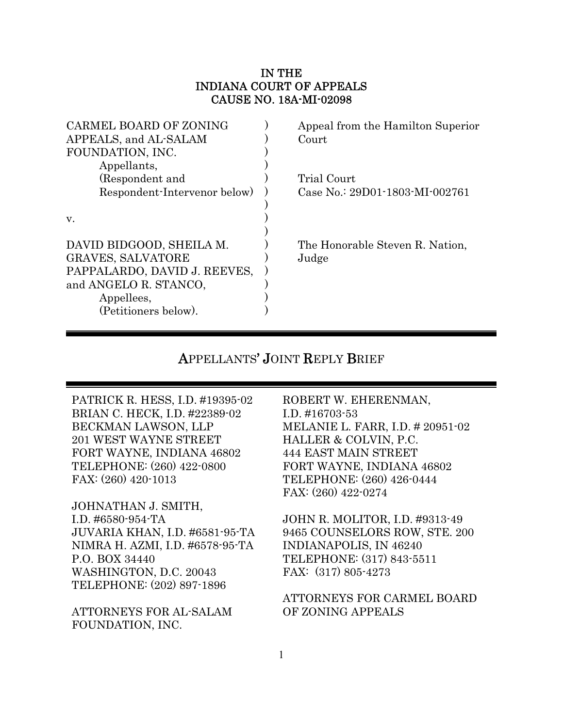### IN THE INDIANA COURT OF APPEALS CAUSE NO. 18A-MI-02098

| <b>CARMEL BOARD OF ZONING</b> | Appeal from the Hamilton Superior |
|-------------------------------|-----------------------------------|
| APPEALS, and AL-SALAM         | Court                             |
| FOUNDATION, INC.              |                                   |
| Appellants,                   |                                   |
| (Respondent and               | Trial Court                       |
| Respondent-Intervenor below)  | Case No.: 29D01-1803-MI-002761    |
|                               |                                   |
| V.                            |                                   |
|                               |                                   |
| DAVID BIDGOOD, SHEILA M.      | The Honorable Steven R. Nation,   |
| <b>GRAVES, SALVATORE</b>      | Judge                             |
| PAPPALARDO, DAVID J. REEVES,  |                                   |
| and ANGELO R. STANCO,         |                                   |
| Appellees,                    |                                   |
| (Petitioners below).          |                                   |
|                               |                                   |

# APPELLANTS' JOINT REPLY BRIEF

PATRICK R. HESS, I.D. #19395-02 BRIAN C. HECK, I.D. #22389-02 BECKMAN LAWSON, LLP 201 WEST WAYNE STREET FORT WAYNE, INDIANA 46802 TELEPHONE: (260) 422-0800 FAX: (260) 420-1013

JOHNATHAN J. SMITH, I.D. #6580-954-TA JUVARIA KHAN, I.D. #6581-95-TA NIMRA H. AZMI, I.D. #6578-95-TA P.O. BOX 34440 WASHINGTON, D.C. 20043 TELEPHONE: (202) 897-1896

ATTORNEYS FOR AL-SALAM FOUNDATION, INC.

ROBERT W. EHERENMAN, I.D. #16703-53 MELANIE L. FARR, I.D. # 20951-02 HALLER & COLVIN, P.C. 444 EAST MAIN STREET FORT WAYNE, INDIANA 46802 TELEPHONE: (260) 426-0444 FAX: (260) 422-0274

JOHN R. MOLITOR, I.D. #9313-49 9465 COUNSELORS ROW, STE. 200 INDIANAPOLIS, IN 46240 TELEPHONE: (317) 843-5511 FAX: (317) 805-4273

### ATTORNEYS FOR CARMEL BOARD OF ZONING APPEALS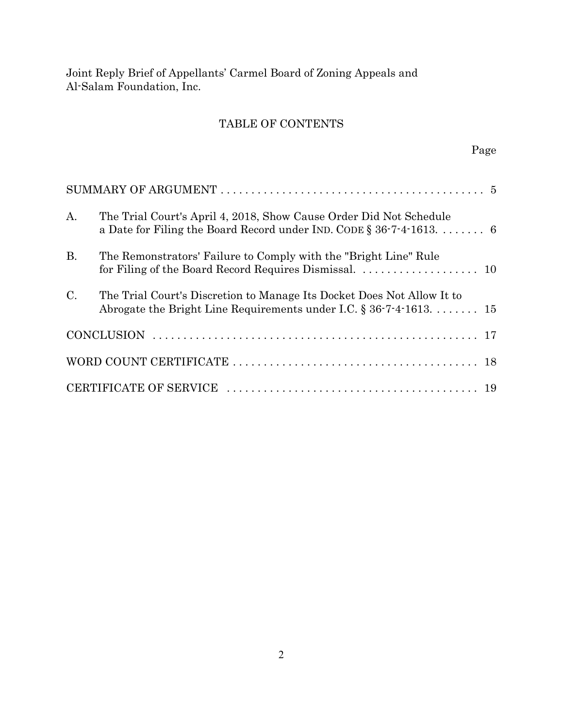## TABLE OF CONTENTS

| $A_{\cdot}$     | The Trial Court's April 4, 2018, Show Cause Order Did Not Schedule<br>a Date for Filing the Board Record under IND. CODE $\S 36-7-4-1613$ 6    |  |
|-----------------|------------------------------------------------------------------------------------------------------------------------------------------------|--|
| <b>B.</b>       | The Remonstrators' Failure to Comply with the "Bright Line" Rule                                                                               |  |
| $\mathcal{C}$ . | The Trial Court's Discretion to Manage Its Docket Does Not Allow It to<br>Abrogate the Bright Line Requirements under I.C. $\S 36-7-4-1613$ 15 |  |
|                 |                                                                                                                                                |  |
|                 |                                                                                                                                                |  |
|                 |                                                                                                                                                |  |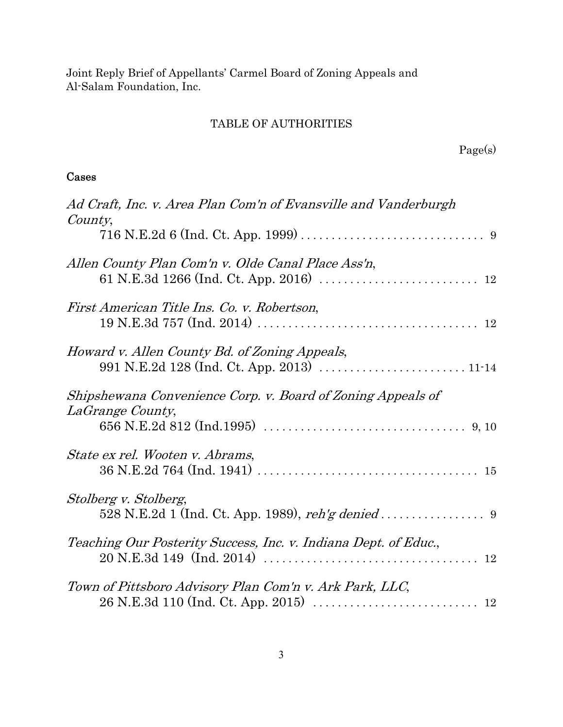## TABLE OF AUTHORITIES

## Cases

| Ad Craft, Inc. v. Area Plan Com'n of Evansville and Vanderburgh<br>County,      |
|---------------------------------------------------------------------------------|
| Allen County Plan Com'n v. Olde Canal Place Ass'n,                              |
| First American Title Ins. Co. v. Robertson,                                     |
| Howard v. Allen County Bd. of Zoning Appeals,                                   |
| Shipshewana Convenience Corp. v. Board of Zoning Appeals of<br>LaGrange County, |
| State ex rel. Wooten v. Abrams,                                                 |
| Stolberg v. Stolberg,                                                           |
| Teaching Our Posterity Success, Inc. v. Indiana Dept. of Educ.,                 |
| Town of Pittsboro Advisory Plan Com'n v. Ark Park, LLC,                         |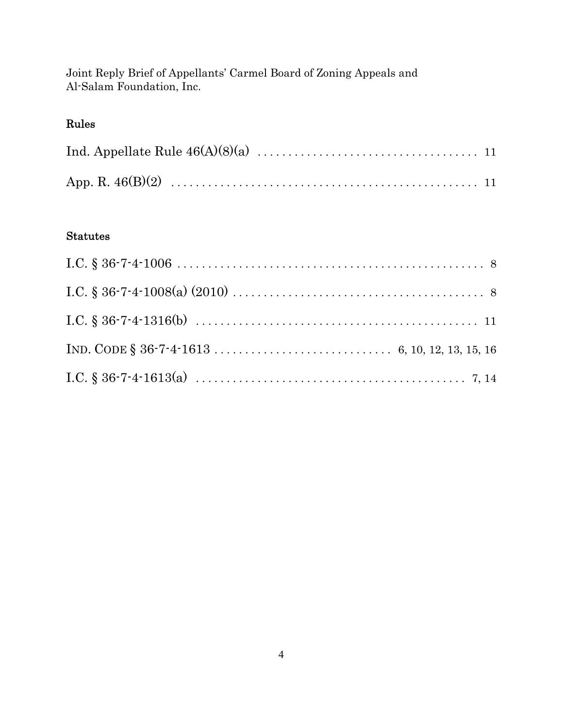# Rules

## Statutes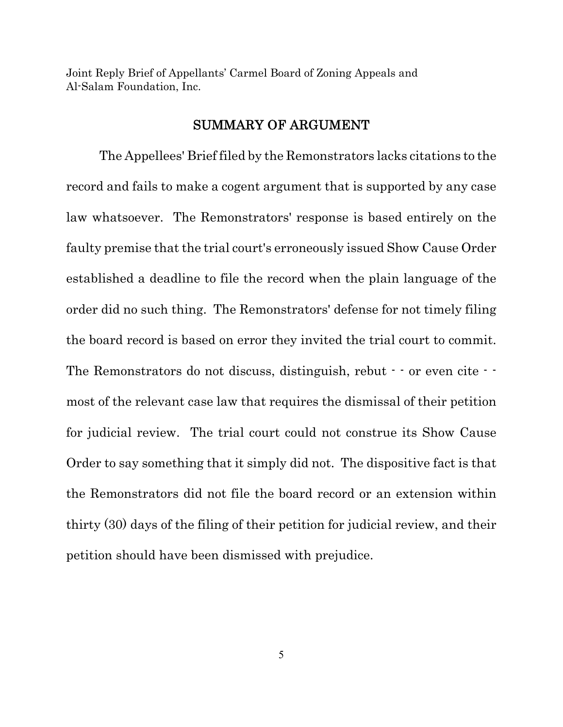## SUMMARY OF ARGUMENT

The Appellees' Brief filed by the Remonstrators lacks citations to the record and fails to make a cogent argument that is supported by any case law whatsoever. The Remonstrators' response is based entirely on the faulty premise that the trial court's erroneously issued Show Cause Order established a deadline to file the record when the plain language of the order did no such thing. The Remonstrators' defense for not timely filing the board record is based on error they invited the trial court to commit. The Remonstrators do not discuss, distinguish, rebut  $\cdot$  or even cite  $\cdot$ most of the relevant case law that requires the dismissal of their petition for judicial review. The trial court could not construe its Show Cause Order to say something that it simply did not. The dispositive fact is that the Remonstrators did not file the board record or an extension within thirty (30) days of the filing of their petition for judicial review, and their petition should have been dismissed with prejudice.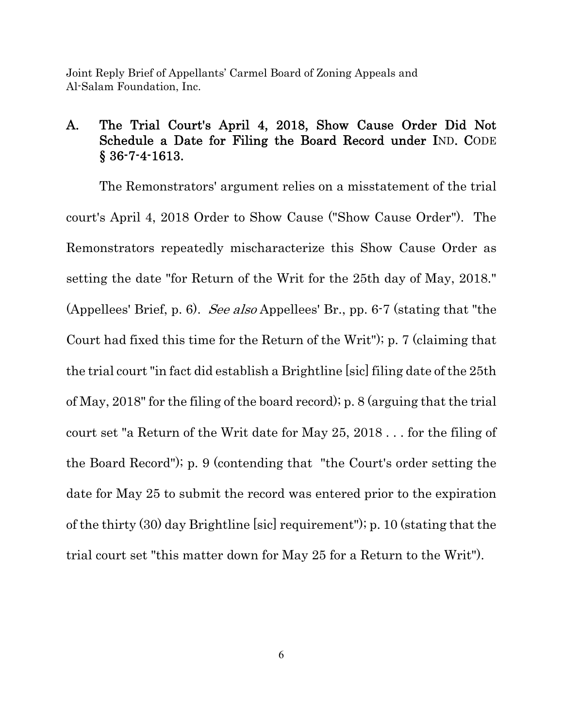# A. The Trial Court's April 4, 2018, Show Cause Order Did Not Schedule a Date for Filing the Board Record under IND. CODE § 36-7-4-1613.

The Remonstrators' argument relies on a misstatement of the trial court's April 4, 2018 Order to Show Cause ("Show Cause Order"). The Remonstrators repeatedly mischaracterize this Show Cause Order as setting the date "for Return of the Writ for the 25th day of May, 2018." (Appellees' Brief, p. 6). See also Appellees' Br., pp. 6-7 (stating that "the Court had fixed this time for the Return of the Writ"); p. 7 (claiming that the trial court "in fact did establish a Brightline [sic] filing date of the 25th of May, 2018" for the filing of the board record); p. 8 (arguing that the trial court set "a Return of the Writ date for May 25, 2018 . . . for the filing of the Board Record"); p. 9 (contending that "the Court's order setting the date for May 25 to submit the record was entered prior to the expiration of the thirty (30) day Brightline [sic] requirement"); p. 10 (stating that the trial court set "this matter down for May 25 for a Return to the Writ").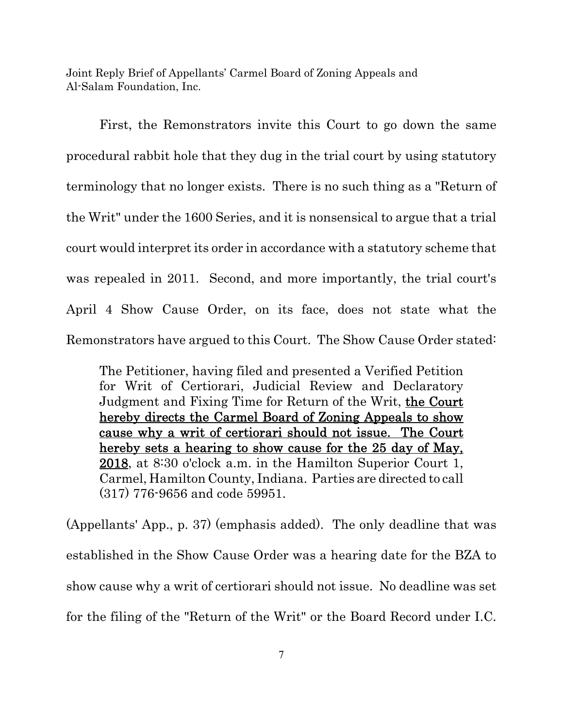First, the Remonstrators invite this Court to go down the same procedural rabbit hole that they dug in the trial court by using statutory terminology that no longer exists. There is no such thing as a "Return of the Writ" under the 1600 Series, and it is nonsensical to argue that a trial court would interpret its order in accordance with a statutory scheme that was repealed in 2011. Second, and more importantly, the trial court's April 4 Show Cause Order, on its face, does not state what the Remonstrators have argued to this Court. The Show Cause Order stated:

The Petitioner, having filed and presented a Verified Petition for Writ of Certiorari, Judicial Review and Declaratory Judgment and Fixing Time for Return of the Writ, the Court hereby directs the Carmel Board of Zoning Appeals to show cause why a writ of certiorari should not issue. The Court hereby sets a hearing to show cause for the 25 day of May, 2018, at 8:30 o'clock a.m. in the Hamilton Superior Court 1, Carmel, Hamilton County, Indiana. Parties are directed to call (317) 776-9656 and code 59951.

(Appellants' App., p. 37) (emphasis added). The only deadline that was established in the Show Cause Order was a hearing date for the BZA to show cause why a writ of certiorari should not issue. No deadline was set for the filing of the "Return of the Writ" or the Board Record under I.C.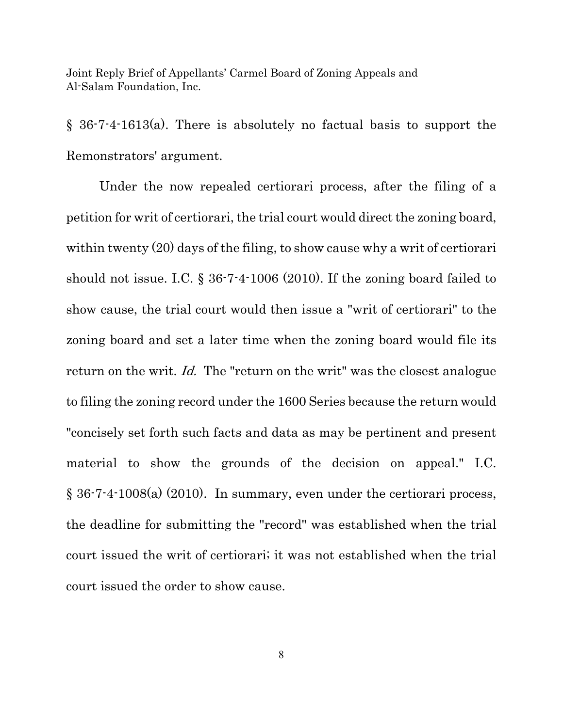§ 36-7-4-1613(a). There is absolutely no factual basis to support the Remonstrators' argument.

Under the now repealed certiorari process, after the filing of a petition for writ of certiorari, the trial court would direct the zoning board, within twenty (20) days of the filing, to show cause why a writ of certiorari should not issue. I.C. § 36-7-4-1006 (2010). If the zoning board failed to show cause, the trial court would then issue a "writ of certiorari" to the zoning board and set a later time when the zoning board would file its return on the writ. Id. The "return on the writ" was the closest analogue to filing the zoning record under the 1600 Series because the return would "concisely set forth such facts and data as may be pertinent and present material to show the grounds of the decision on appeal." I.C. § 36-7-4-1008(a) (2010). In summary, even under the certiorari process, the deadline for submitting the "record" was established when the trial court issued the writ of certiorari; it was not established when the trial court issued the order to show cause.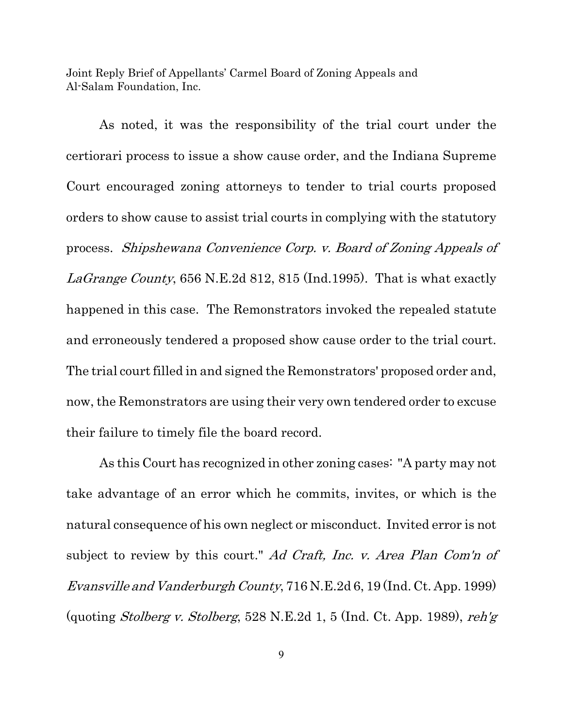As noted, it was the responsibility of the trial court under the certiorari process to issue a show cause order, and the Indiana Supreme Court encouraged zoning attorneys to tender to trial courts proposed orders to show cause to assist trial courts in complying with the statutory process. Shipshewana Convenience Corp. v. Board of Zoning Appeals of LaGrange County, 656 N.E.2d 812, 815 (Ind.1995). That is what exactly happened in this case. The Remonstrators invoked the repealed statute and erroneously tendered a proposed show cause order to the trial court. The trial court filled in and signed the Remonstrators' proposed order and, now, the Remonstrators are using their very own tendered order to excuse their failure to timely file the board record.

As this Court has recognized in other zoning cases: "A party may not take advantage of an error which he commits, invites, or which is the natural consequence of his own neglect or misconduct. Invited error is not subject to review by this court." Ad Craft, Inc. v. Area Plan Com'n of Evansville and Vanderburgh County, 716 N.E.2d 6, 19 (Ind. Ct. App. 1999) (quoting *Stolberg v. Stolberg*, 528 N.E.2d 1, 5 (Ind. Ct. App. 1989), reh'g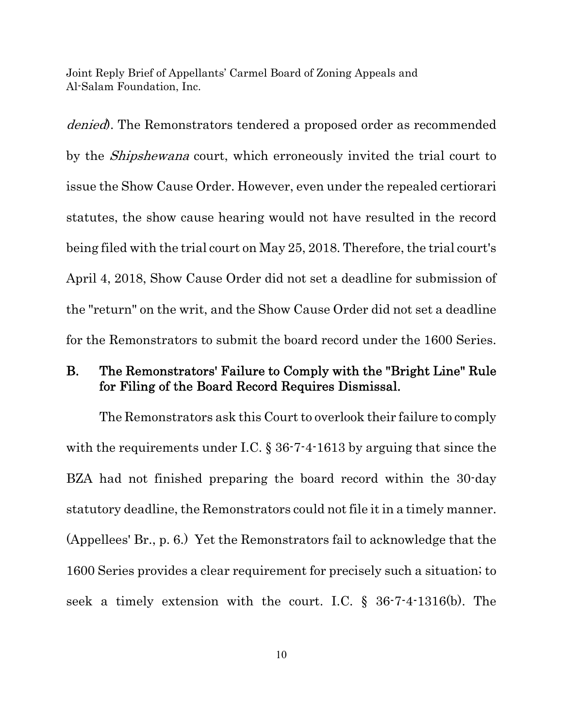denied. The Remonstrators tendered a proposed order as recommended by the *Shipshewana* court, which erroneously invited the trial court to issue the Show Cause Order. However, even under the repealed certiorari statutes, the show cause hearing would not have resulted in the record being filed with the trial court on May 25, 2018. Therefore, the trial court's April 4, 2018, Show Cause Order did not set a deadline for submission of the "return" on the writ, and the Show Cause Order did not set a deadline for the Remonstrators to submit the board record under the 1600 Series.

## B. The Remonstrators' Failure to Comply with the "Bright Line" Rule for Filing of the Board Record Requires Dismissal.

The Remonstrators ask this Court to overlook their failure to comply with the requirements under I.C. § 36-7-4-1613 by arguing that since the BZA had not finished preparing the board record within the 30-day statutory deadline, the Remonstrators could not file it in a timely manner. (Appellees' Br., p. 6.) Yet the Remonstrators fail to acknowledge that the 1600 Series provides a clear requirement for precisely such a situation; to seek a timely extension with the court. I.C. § 36-7-4-1316(b). The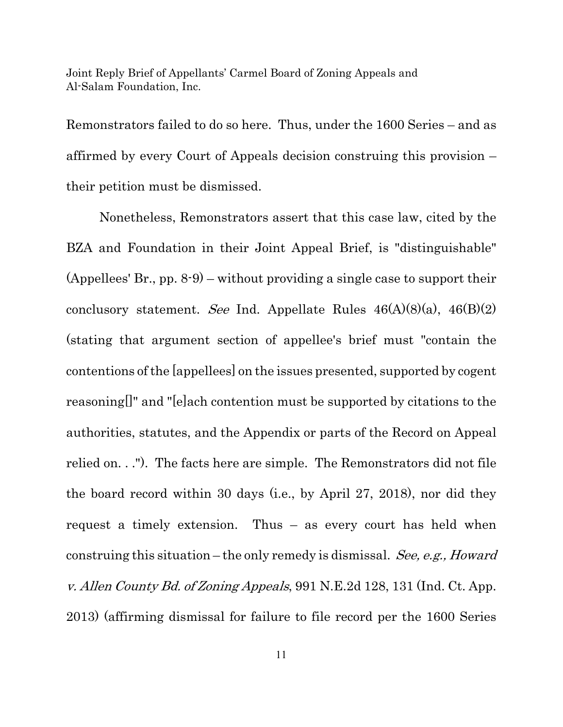Remonstrators failed to do so here. Thus, under the 1600 Series – and as affirmed by every Court of Appeals decision construing this provision – their petition must be dismissed.

Nonetheless, Remonstrators assert that this case law, cited by the BZA and Foundation in their Joint Appeal Brief, is "distinguishable" (Appellees' Br., pp. 8-9) – without providing a single case to support their conclusory statement. See Ind. Appellate Rules  $46(A)(8)(a)$ ,  $46(B)(2)$ (stating that argument section of appellee's brief must "contain the contentions of the [appellees] on the issues presented, supported by cogent reasoning[]" and "[e]ach contention must be supported by citations to the authorities, statutes, and the Appendix or parts of the Record on Appeal relied on. . ."). The facts here are simple. The Remonstrators did not file the board record within 30 days (i.e., by April 27, 2018), nor did they request a timely extension. Thus – as every court has held when construing this situation – the only remedy is dismissal. See, e.g., Howard v. Allen County Bd. of Zoning Appeals, 991 N.E.2d 128, 131 (Ind. Ct. App. 2013) (affirming dismissal for failure to file record per the 1600 Series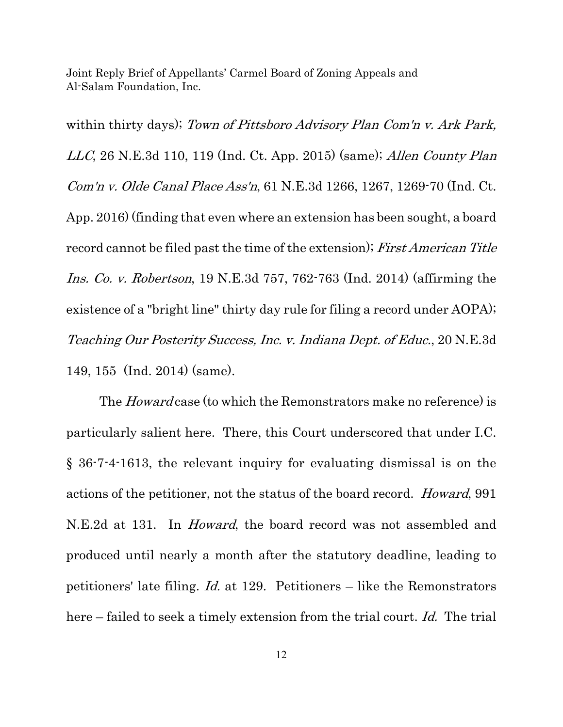within thirty days); Town of Pittsboro Advisory Plan Com'n v. Ark Park,  $LLC$ , 26 N.E.3d 110, 119 (Ind. Ct. App. 2015) (same); Allen County Plan Com'n v. Olde Canal Place Ass'n, 61 N.E.3d 1266, 1267, 1269-70 (Ind. Ct. App. 2016) (finding that even where an extension has been sought, a board record cannot be filed past the time of the extension); First American Title Ins. Co. v. Robertson, 19 N.E.3d 757, 762-763 (Ind. 2014) (affirming the existence of a "bright line" thirty day rule for filing a record under AOPA); Teaching Our Posterity Success, Inc. v. Indiana Dept. of Educ., 20 N.E.3d 149, 155 (Ind. 2014) (same).

The *Howard* case (to which the Remonstrators make no reference) is particularly salient here. There, this Court underscored that under I.C. § 36-7-4-1613, the relevant inquiry for evaluating dismissal is on the actions of the petitioner, not the status of the board record. Howard, 991 N.E.2d at 131. In *Howard*, the board record was not assembled and produced until nearly a month after the statutory deadline, leading to petitioners' late filing. Id. at 129. Petitioners – like the Remonstrators here – failed to seek a timely extension from the trial court. Id. The trial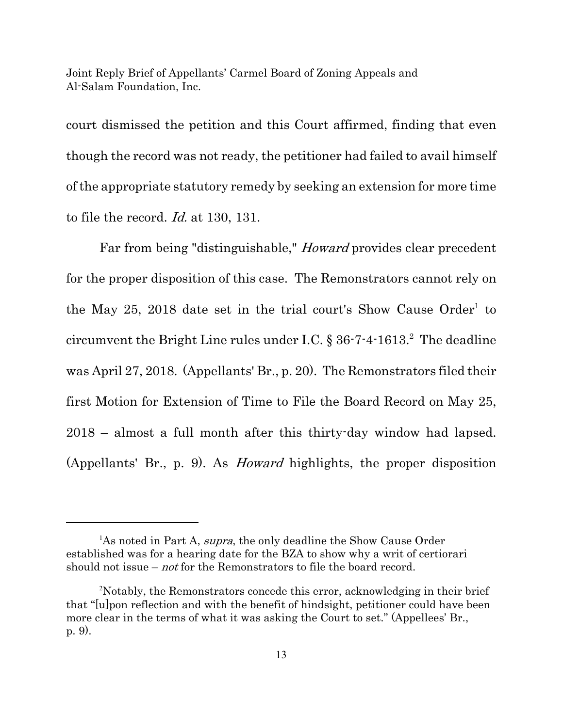court dismissed the petition and this Court affirmed, finding that even though the record was not ready, the petitioner had failed to avail himself of the appropriate statutory remedy by seeking an extension for more time to file the record. Id. at 130, 131.

Far from being "distinguishable," Howard provides clear precedent for the proper disposition of this case. The Remonstrators cannot rely on the May 25, 2018 date set in the trial court's Show Cause Order<sup>1</sup> to circumvent the Bright Line rules under I.C.  $\S 36-7-4-1613$ . The deadline was April 27, 2018. (Appellants' Br., p. 20). The Remonstrators filed their first Motion for Extension of Time to File the Board Record on May 25, 2018 – almost a full month after this thirty-day window had lapsed. (Appellants' Br., p. 9). As Howard highlights, the proper disposition

<sup>&</sup>lt;sup>1</sup>As noted in Part A, *supra*, the only deadline the Show Cause Order established was for a hearing date for the BZA to show why a writ of certiorari should not issue – *not* for the Remonstrators to file the board record.

<sup>&</sup>lt;sup>2</sup>Notably, the Remonstrators concede this error, acknowledging in their brief that "[u]pon reflection and with the benefit of hindsight, petitioner could have been more clear in the terms of what it was asking the Court to set." (Appellees' Br., p. 9).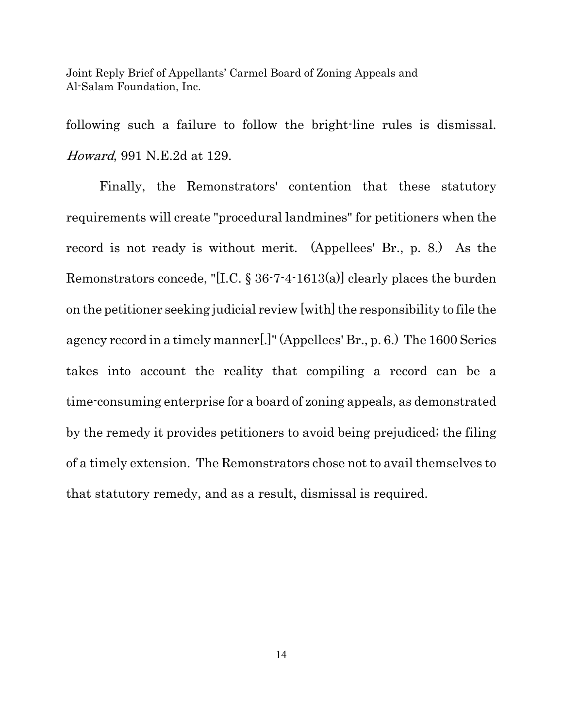following such a failure to follow the bright-line rules is dismissal. Howard, 991 N.E.2d at 129.

Finally, the Remonstrators' contention that these statutory requirements will create "procedural landmines" for petitioners when the record is not ready is without merit. (Appellees' Br., p. 8.) As the Remonstrators concede, "[I.C. § 36-7-4-1613(a)] clearly places the burden on the petitioner seeking judicial review [with] the responsibility to file the agency record in a timely manner[.]" (Appellees' Br., p. 6.) The 1600 Series takes into account the reality that compiling a record can be a time-consuming enterprise for a board of zoning appeals, as demonstrated by the remedy it provides petitioners to avoid being prejudiced; the filing of a timely extension. The Remonstrators chose not to avail themselves to that statutory remedy, and as a result, dismissal is required.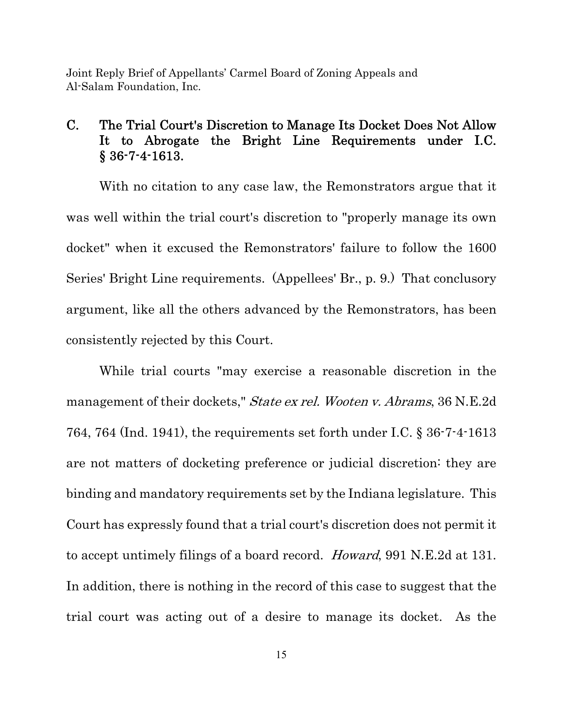# C. The Trial Court's Discretion to Manage Its Docket Does Not Allow It to Abrogate the Bright Line Requirements under I.C. § 36-7-4-1613.

With no citation to any case law, the Remonstrators argue that it was well within the trial court's discretion to "properly manage its own docket" when it excused the Remonstrators' failure to follow the 1600 Series' Bright Line requirements. (Appellees' Br., p. 9.) That conclusory argument, like all the others advanced by the Remonstrators, has been consistently rejected by this Court.

While trial courts "may exercise a reasonable discretion in the management of their dockets," State ex rel. Wooten v. Abrams, 36 N.E.2d 764, 764 (Ind. 1941), the requirements set forth under I.C. § 36-7-4-1613 are not matters of docketing preference or judicial discretion: they are binding and mandatory requirements set by the Indiana legislature. This Court has expressly found that a trial court's discretion does not permit it to accept untimely filings of a board record. Howard, 991 N.E.2d at 131. In addition, there is nothing in the record of this case to suggest that the trial court was acting out of a desire to manage its docket. As the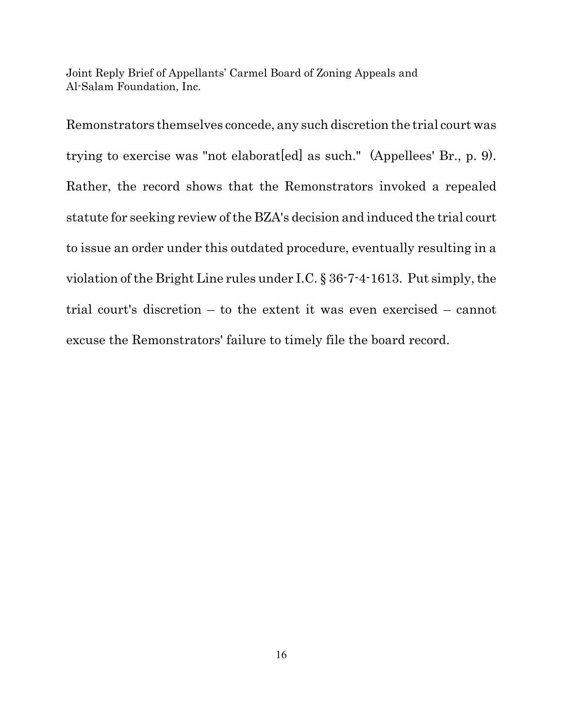Remonstrators themselves concede, any such discretion the trial court was trying to exercise was "not elaborat[ed] as such." (Appellees' Br., p. 9). Rather, the record shows that the Remonstrators invoked a repealed statute for seeking review of the BZA's decision and induced the trial court to issue an order under this outdated procedure, eventually resulting in a violation of the Bright Line rules under I.C. § 36-7-4-1613. Put simply, the trial court's discretion – to the extent it was even exercised – cannot excuse the Remonstrators' failure to timely file the board record.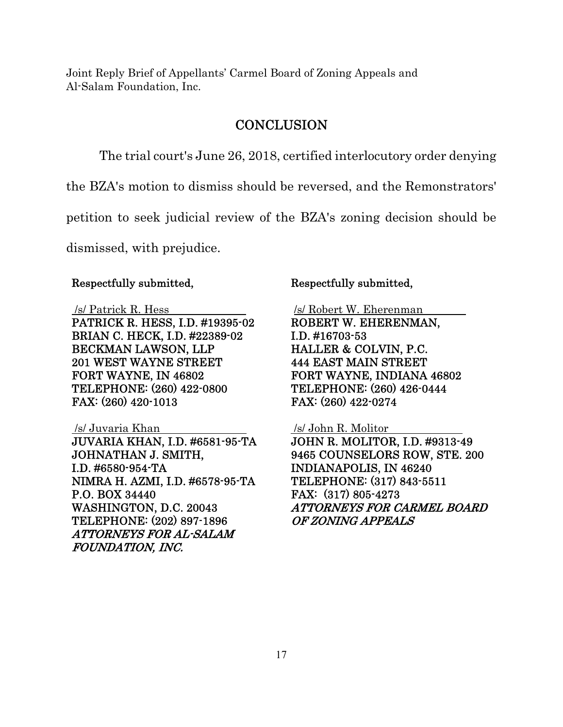### **CONCLUSION**

The trial court's June 26, 2018, certified interlocutory order denying

the BZA's motion to dismiss should be reversed, and the Remonstrators'

petition to seek judicial review of the BZA's zoning decision should be

dismissed, with prejudice.

#### Respectfully submitted,

/s/ Patrick R. Hess

PATRICK R. HESS, I.D. #19395-02 BRIAN C. HECK, I.D. #22389-02 BECKMAN LAWSON, LLP 201 WEST WAYNE STREET FORT WAYNE, IN 46802 TELEPHONE: (260) 422-0800 FAX: (260) 420-1013

#### /s/ Juvaria Khan

JUVARIA KHAN, I.D. #6581-95-TA JOHNATHAN J. SMITH, I.D. #6580-954-TA NIMRA H. AZMI, I.D. #6578-95-TA P.O. BOX 34440 WASHINGTON, D.C. 20043 TELEPHONE: (202) 897-1896 ATTORNEYS FOR AL-SALAM FOUNDATION, INC.

#### Respectfully submitted,

 /s/ Robert W. Eherenman ROBERT W. EHERENMAN,

I.D. #16703-53 HALLER & COLVIN, P.C. 444 EAST MAIN STREET FORT WAYNE, INDIANA 46802 TELEPHONE: (260) 426-0444 FAX: (260) 422-0274

#### /s/ John R. Molitor

JOHN R. MOLITOR, I.D. #9313-49 9465 COUNSELORS ROW, STE. 200 INDIANAPOLIS, IN 46240 TELEPHONE: (317) 843-5511 FAX: (317) 805-4273 ATTORNEYS FOR CARMEL BOARD OF ZONING APPEALS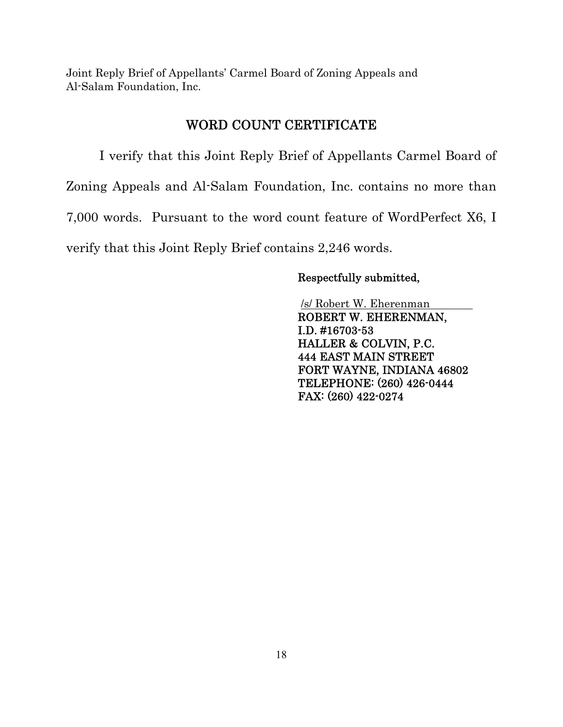## WORD COUNT CERTIFICATE

I verify that this Joint Reply Brief of Appellants Carmel Board of Zoning Appeals and Al-Salam Foundation, Inc. contains no more than 7,000 words. Pursuant to the word count feature of WordPerfect X6, I verify that this Joint Reply Brief contains 2,246 words.

#### Respectfully submitted,

/s/ Robert W. Eherenman

ROBERT W. EHERENMAN, I.D. #16703-53 HALLER & COLVIN, P.C. 444 EAST MAIN STREET FORT WAYNE, INDIANA 46802 TELEPHONE: (260) 426-0444 FAX: (260) 422-0274